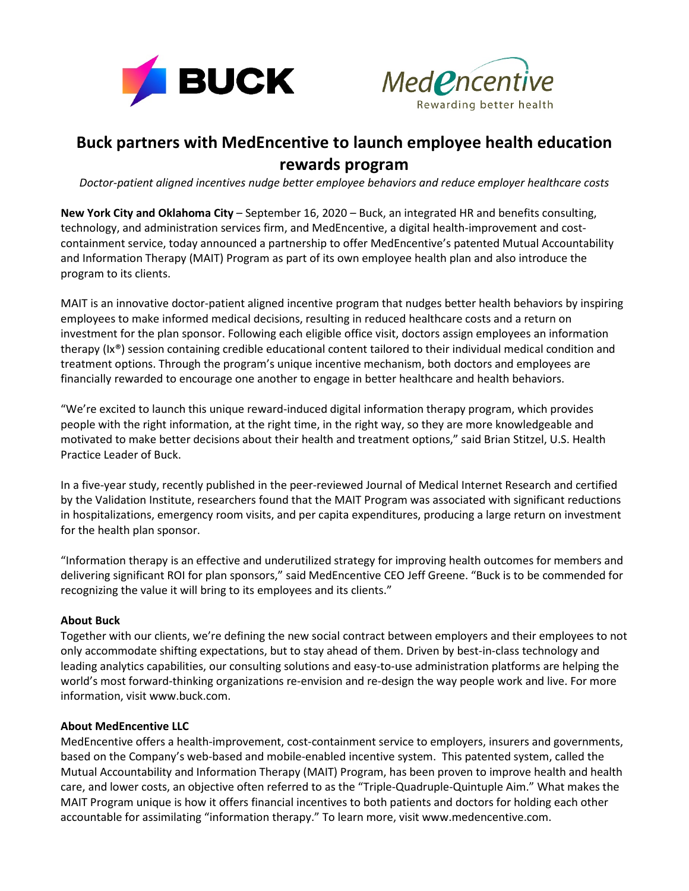



## **Buck partners with MedEncentive to launch employee health education rewards program**

*Doctor-patient aligned incentives nudge better employee behaviors and reduce employer healthcare costs*

**New York City and Oklahoma City** – September 16, 2020 – Buck, an integrated HR and benefits consulting, technology, and administration services firm, and MedEncentive, a digital health-improvement and costcontainment service, today announced a partnership to offer MedEncentive's patented Mutual Accountability and Information Therapy (MAIT) Program as part of its own employee health plan and also introduce the program to its clients.

MAIT is an innovative doctor-patient aligned incentive program that nudges better health behaviors by inspiring employees to make informed medical decisions, resulting in reduced healthcare costs and a return on investment for the plan sponsor. Following each eligible office visit, doctors assign employees an information therapy (Ix®) session containing credible educational content tailored to their individual medical condition and treatment options. Through the program's unique incentive mechanism, both doctors and employees are financially rewarded to encourage one another to engage in better healthcare and health behaviors.

"We're excited to launch this unique reward-induced digital information therapy program, which provides people with the right information, at the right time, in the right way, so they are more knowledgeable and motivated to make better decisions about their health and treatment options," said Brian Stitzel, U.S. Health Practice Leader of Buck.

In a five-year study, recently published in the peer-reviewed Journal of Medical Internet Research and certified by the Validation Institute, researchers found that the MAIT Program was associated with significant reductions in hospitalizations, emergency room visits, and per capita expenditures, producing a large return on investment for the health plan sponsor.

"Information therapy is an effective and underutilized strategy for improving health outcomes for members and delivering significant ROI for plan sponsors," said MedEncentive CEO Jeff Greene. "Buck is to be commended for recognizing the value it will bring to its employees and its clients."

## **About Buck**

Together with our clients, we're defining the new social contract between employers and their employees to not only accommodate shifting expectations, but to stay ahead of them. Driven by best-in-class technology and leading analytics capabilities, our consulting solutions and easy-to-use administration platforms are helping the world's most forward-thinking organizations re-envision and re-design the way people work and live. For more information, visit www.buck.com.

## **About MedEncentive LLC**

MedEncentive offers a health-improvement, cost-containment service to employers, insurers and governments, based on the Company's web-based and mobile-enabled incentive system. This patented system, called the Mutual Accountability and Information Therapy (MAIT) Program, has been proven to improve health and health care, and lower costs, an objective often referred to as the "Triple-Quadruple-Quintuple Aim." What makes the MAIT Program unique is how it offers financial incentives to both patients and doctors for holding each other accountable for assimilating "information therapy." To learn more, visit www.medencentive.com.